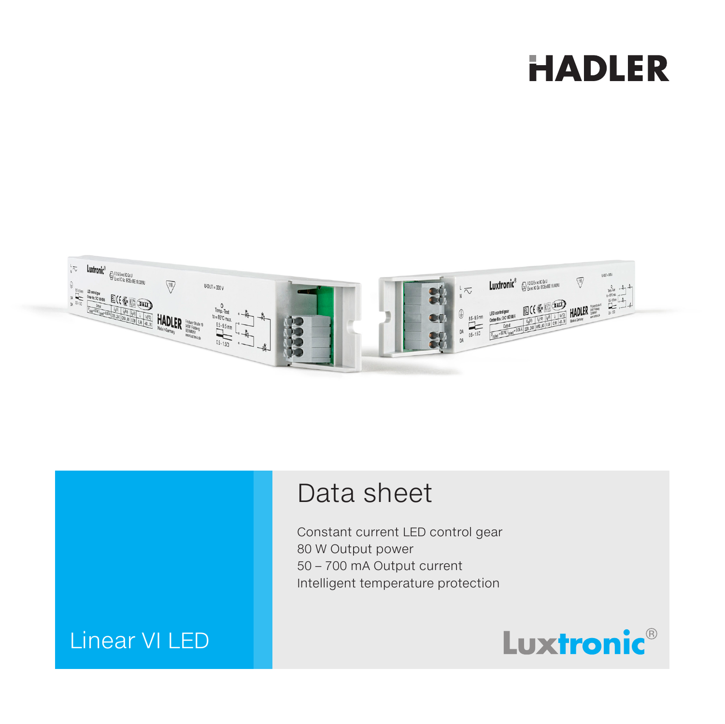# **HADLER**



## Data sheet

Constant current LED control gear 80 W Output power 50 – 700 mA Output current Intelligent temperature protection

## Linear VI LED

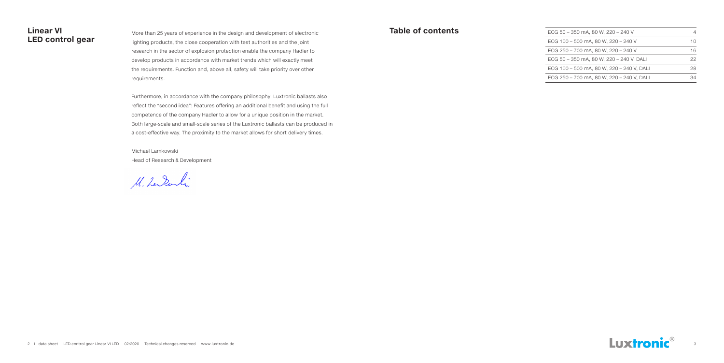### **Linear VI LED control gear**

More than 25 years of experience in the design and development of electronic lighting products, the close cooperation with test authorities and the joint research in the sector of explosion protection enable the company Hadler to develop products in accordance with market trends which will exactly meet the requirements. Function and, above all, safety will take priority over other requirements.

| ECG 50 - 350 mA. 80 W. 220 - 240 V        | 4  |
|-------------------------------------------|----|
| ECG 100 - 500 mA, 80 W, 220 - 240 V       | 10 |
| ECG 250 - 700 mA. 80 W. 220 - 240 V       | 16 |
| ECG 50 – 350 mA. 80 W. 220 – 240 V. DALI  | 22 |
| ECG 100 – 500 mA. 80 W. 220 – 240 V. DALI | 28 |
| ECG 250 – 700 mA. 80 W. 220 – 240 V. DALI | 34 |



Furthermore, in accordance with the company philosophy, Luxtronic ballasts also reflect the "second idea": Features offering an additional benefit and using the full competence of the company Hadler to allow for a unique position in the market. Both large-scale and small-scale series of the Luxtronic ballasts can be produced in a cost-effective way. The proximity to the market allows for short delivery times.

Michael Lamkowski Head of Research & Development

M. Lendenlin

### **Table of contents**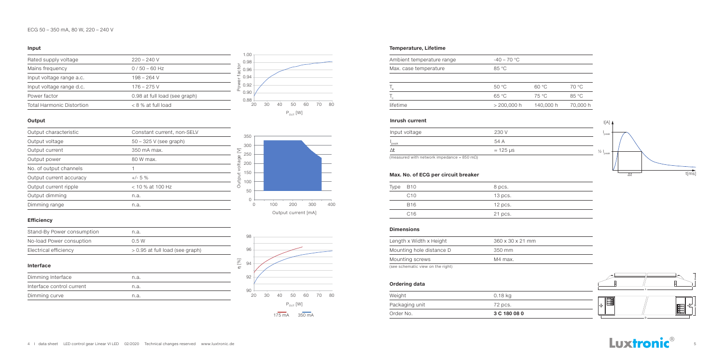| Rated supply voltage             | $220 - 240$ V                 |
|----------------------------------|-------------------------------|
| Mains frequency                  | $0/50 - 60$ Hz                |
| Input voltage range a.c.         | $198 - 264$ V                 |
| Input voltage range d.c.         | $176 - 275$ V                 |
| Power factor                     | 0.98 at full load (see graph) |
| <b>Total Harmonic Distortion</b> | $< 8$ % at full load          |

| Output characteristic   | Constant current, non-SELV |
|-------------------------|----------------------------|
| Output voltage          | $50 - 325$ V (see graph)   |
| Output current          | 350 mA max.                |
| Output power            | 80 W max.                  |
| No. of output channels  |                            |
| Output current accuracy | $+/- 5 \%$                 |
| Output current ripple   | $<$ 10 % at 100 Hz         |
| Output dimming          | n.a.                       |
| Dimming range           | n.a.                       |
|                         |                            |

#### **Input**

#### **Output**



#### **Efficiency**

| Stand-By Power consumption | n.a.                              |
|----------------------------|-----------------------------------|
| No-load Power consuption   | 0.5 W                             |
| Electrical efficiency      | $> 0.95$ at full load (see graph) |

#### **Interface**

| Dimming Interface         | n.a. |  |
|---------------------------|------|--|
| Interface control current | n.a. |  |
| Dimming curve             | n.a. |  |

#### **Dimensions**

#### **Ordering data**

#### **Temperature, Lifetime**





| Length x Width x Height           | $360 \times 30 \times 21$ mm |
|-----------------------------------|------------------------------|
| Mounting hole distance D          | 350 mm                       |
| Mounting screws                   | M4 max.                      |
| (see schematic view on the right) |                              |

| Order No.      | 3 C 180 08 0 |
|----------------|--------------|
| Packaging unit | 72 pcs.      |
| Weight         | 0.18 kg      |
|                |              |

| Ambient temperature range | $-40 - 70$ °C |           |          |
|---------------------------|---------------|-----------|----------|
| Max. case temperature     | 85 °C         |           |          |
|                           |               |           |          |
|                           | 50 °C         | 60 °C     | 70 °C    |
|                           | 65 °C         | 75 °C     | 85 °C    |
| lifetime                  | $> 200,000$ h | 140,000 h | 70,000 h |
|                           |               |           |          |

### **Inrush current** I[A]  $\mathbf{I}$

| Type | B10        | 8 pcs.    |
|------|------------|-----------|
|      | C10        | $13$ pcs. |
|      | <b>B16</b> | $12$ pcs. |
|      | C16        | 21 pcs.   |

#### **Max. No. of ECG per circuit breaker**

| Input voltage | 230 V            |
|---------------|------------------|
| peak          | 54 A             |
|               | $\approx$ 125 µs |





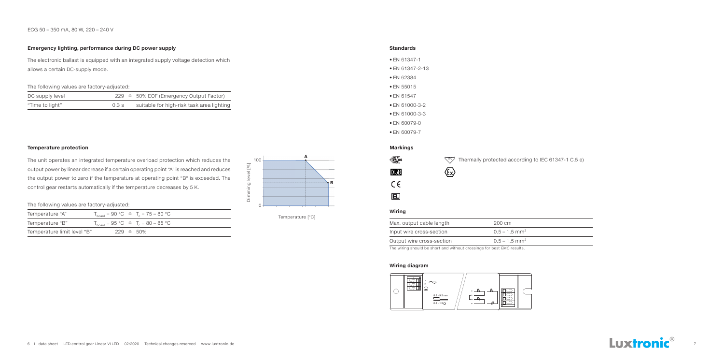#### **Standards**

#### **Wiring diagram**

- EN 61347-1
- EN 61347-2-13
- EN 62384
- EN 55015
- EN 61547
- EN 61000-3-2
- EN 61000-3-3
- EN 60079-0
- EN 60079-7



#### ECG 50 – 350 mA, 80 W, 220 – 240 V

#### **Temperature protection**

The unit operates an integrated temperature overload protection which reduces the output power by linear decrease if a certain operating point "A" is reached and reduces the output power to zero if the temperature at operating point "B" is exceeded. The control gear restarts automatically if the temperature decreases by 5 K.

#### **Emergency lighting, performance during DC power supply**



The electronic ballast is equipped with an integrated supply voltage detection which allows a certain DC-supply mode.

The following values are factory-adjusted:

| DC supply level |      | $229 \triangleq 50\%$ EOF (Emergency Output Factor) |
|-----------------|------|-----------------------------------------------------|
| "Time to light" | 0.3s | suitable for high-risk task area lighting           |

The following values are factory-adjusted:

| Temperature "A"             |  | $T_{\text{board}} = 90 \text{ °C} \triangleq T_c = 75 - 80 \text{ °C}$ |
|-----------------------------|--|------------------------------------------------------------------------|
| Temperature "B"             |  | $T_{\text{board}} = 95 \text{ °C} \approx T_c = 80 - 85 \text{ °C}$    |
| Temperature limit level "B" |  | $229 \triangleq 50\%$                                                  |



Temperature [°C]

#### **Markings**

| ≹65     |  |
|---------|--|
| KENA    |  |
| r.<br>÷ |  |
| IELĪ    |  |

110 Thermally protected according to IEC 61347-1 C.5 e)

## $\bigotimes$



#### **Wiring**

| Max. output cable length  | 200 cm                                           |
|---------------------------|--------------------------------------------------|
| Input wire cross-section  | $0.5 - 1.5$ mm <sup>2</sup>                      |
| Output wire cross-section | $0.5 - 1.5$ mm <sup>2</sup>                      |
|                           | $\sim$ $\sim$ $\sim$ $\sim$ $\sim$ $\sim$ $\sim$ |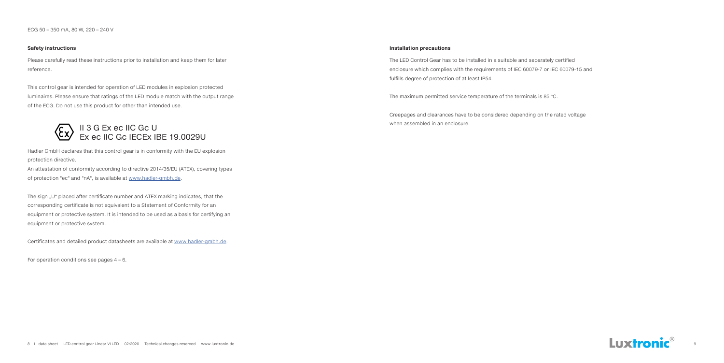#### **Installation precautions**

The LED Control Gear has to be installed in a suitable and separately certified enclosure which complies with the requirements of IEC 60079-7 or IEC 60079-15 and fulfills degree of protection of at least IP54.

The maximum permitted service temperature of the terminals is 85 °C.

Creepages and clearances have to be considered depending on the rated voltage when assembled in an enclosure.



#### **Safety instructions**

Please carefully read these instructions prior to installation and keep them for later reference.

The sign "U" placed after certificate number and ATEX marking indicates, that the corresponding certificate is not equivalent to a Statement of Conformity for an equipment or protective system. It is intended to be used as a basis for certifying an equipment or protective system.

This control gear is intended for operation of LED modules in explosion protected luminaires. Please ensure that ratings of the LED module match with the output range of the ECG. Do not use this product for other than intended use.

Hadler GmbH declares that this control gear is in conformity with the EU explosion protection directive.

An attestation of conformity according to directive 2014/35/EU (ATEX), covering types of protection "ec" and "nA", is available at www.hadler-gmbh.de.

Certificates and detailed product datasheets are available at www.hadler-gmbh.de.

For operation conditions see pages 4 – 6.

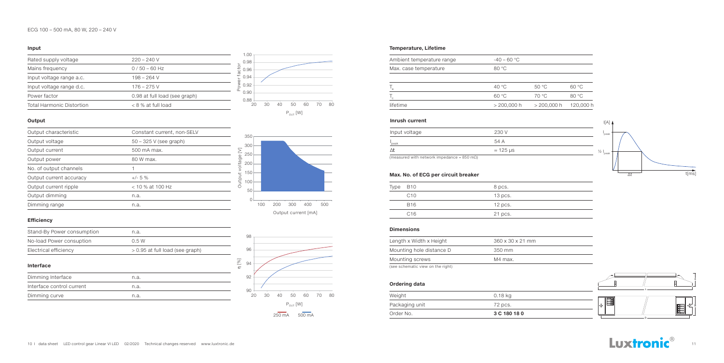| Rated supply voltage             | $220 - 240$ V                 |
|----------------------------------|-------------------------------|
| Mains frequency                  | $0/50 - 60$ Hz                |
| Input voltage range a.c.         | 198 – 264 V                   |
| Input voltage range d.c.         | $176 - 275$ V                 |
| Power factor                     | 0.98 at full load (see graph) |
| <b>Total Harmonic Distortion</b> | $< 8$ % at full load          |

| Output characteristic   | Constant current, non-SELV |
|-------------------------|----------------------------|
| Output voltage          | $50 - 325$ V (see graph)   |
| Output current          | 500 mA max.                |
| Output power            | 80 W max.                  |
| No. of output channels  |                            |
| Output current accuracy | $+/- 5 \%$                 |
| Output current ripple   | $<$ 10 % at 100 Hz         |
| Output dimming          | n.a.                       |
| Dimming range           | n.a.                       |
|                         |                            |

#### **Input**

#### **Output**

#### **Efficiency**

| Stand-By Power consumption | n.a.                            |
|----------------------------|---------------------------------|
| No-load Power consuption   | 0.5 W                           |
| Electrical efficiency      | > 0.95 at full load (see graph) |

#### **Interface**

| Dimming Interface         | n.a. |  |
|---------------------------|------|--|
| Interface control current | n.a. |  |
| Dimming curve             | n.a. |  |

#### **Dimensions**

#### **Ordering data**

#### **Temperature, Lifetime**





| Length x Width x Height           | $360 \times 30 \times 21$ mm |
|-----------------------------------|------------------------------|
| Mounting hole distance D          | 350 mm                       |
| Mounting screws                   | M4 max.                      |
| (see schematic view on the right) |                              |

| Order No.      | 3 C 180 18 0 |
|----------------|--------------|
| Packaging unit | 72 pcs.      |
| Weight         | 0.18 kg      |
|                |              |

| 80 °C |       |                                |
|-------|-------|--------------------------------|
|       |       |                                |
|       |       |                                |
| 40 °C | 50 °C | 60 °C                          |
| 60 °C | 70 °C | 80 °C                          |
|       |       | 120, C                         |
|       |       | $> 200,000$ h<br>$> 200,000$ h |

### **Inrush current** I[A]



| Type | <b>B10</b>      | 8 pcs.    |
|------|-----------------|-----------|
|      | C10             | $13$ pcs. |
|      | B <sub>16</sub> | $12$ pcs. |
|      | C16             | 21 pcs.   |

#### **Max. No. of ECG per circuit breaker**



| Input voltage | 230 V            |
|---------------|------------------|
| peak          | 54 A             |
|               | $\approx$ 125 µs |





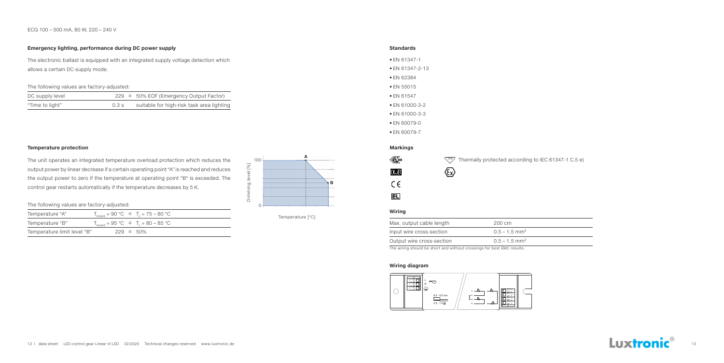#### ECG 100 – 500 mA, 80 W, 220 – 240 V

#### **Temperature protection**

The unit operates an integrated temperature overload protection which reduces the output power by linear decrease if a certain operating point "A" is reached and reduces the output power to zero if the temperature at operating point "B" is exceeded. The control gear restarts automatically if the temperature decreases by 5 K.

#### **Emergency lighting, performance during DC power supply**

The electronic ballast is equipped with an integrated supply voltage detection which allows a certain DC-supply mode.

The following values are factory-adjusted:

| DC supply level |      | $229 \triangleq 50\%$ EOF (Emergency Output Factor) |
|-----------------|------|-----------------------------------------------------|
| "Time to light" | 0.3s | suitable for high-risk task area lighting           |

The following values are factory-adjusted:

| Temperature "A"             |  | $T_{\text{board}} = 90 \text{ °C} \triangleq T_c = 75 - 80 \text{ °C}$ |
|-----------------------------|--|------------------------------------------------------------------------|
| Temperature "B"             |  | $T_{\text{board}} = 95 \text{ °C} \approx T_c = 80 - 85 \text{ °C}$    |
| Temperature limit level "B" |  | $229 \triangleq 50\%$                                                  |



Temperature [°C]

#### **Standards**

#### **Wiring diagram**

- EN 61347-1
- EN 61347-2-13
- EN 62384
- EN 55015
- EN 61547
- EN 61000-3-2
- EN 61000-3-3
- EN 60079-0
- EN 60079-7





#### **Markings**

| ≹65     |  |
|---------|--|
| KENA    |  |
| r.<br>÷ |  |
| IELĪ    |  |

Thermally protected according to IEC 61347-1 C.5 e)

## $\bigotimes$



#### **Wiring**

| Max. output cable length  | 200 cm                      |
|---------------------------|-----------------------------|
| Input wire cross-section  | $0.5 - 1.5$ mm <sup>2</sup> |
| Output wire cross-section | $0.5 - 1.5$ mm <sup>2</sup> |
|                           |                             |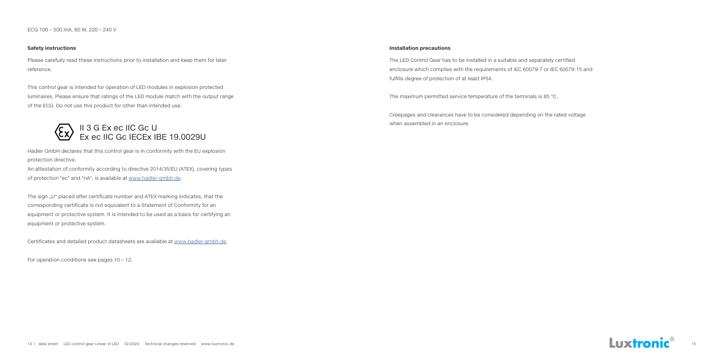#### **Safety instructions Installation precautions**

The LED Control Gear has to be installed in a suitable and separately certified enclosure which complies with the requirements of IEC 60079-7 or IEC 60079-15 and fulfills degree of protection of at least IP54.

The maximum permitted service temperature of the terminals is 85 °C.

Creepages and clearances have to be considered depending on the rated voltage when assembled in an enclosure.



Please carefully read these instructions prior to installation and keep them for later reference.

The sign "U" placed after certificate number and ATEX marking indicates, that the corresponding certificate is not equivalent to a Statement of Conformity for an equipment or protective system. It is intended to be used as a basis for certifying an equipment or protective system.

This control gear is intended for operation of LED modules in explosion protected luminaires. Please ensure that ratings of the LED module match with the output range of the ECG. Do not use this product for other than intended use.

Hadler GmbH declares that this control gear is in conformity with the EU explosion protection directive.

An attestation of conformity according to directive 2014/35/EU (ATEX), covering types of protection "ec" and "nA", is available at www.hadler-gmbh.de.

Certificates and detailed product datasheets are available at www.hadler-gmbh.de.

For operation conditions see pages 10 – 12.

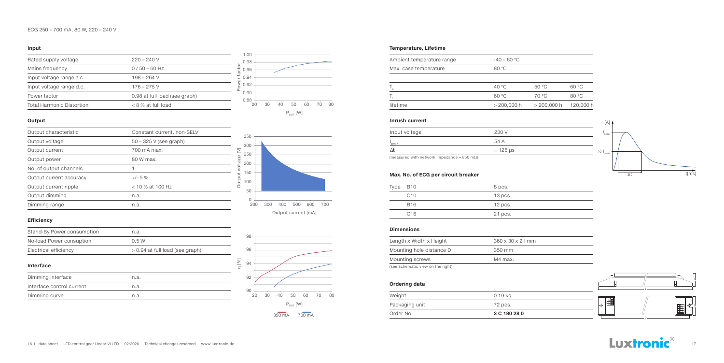| Rated supply voltage      | $220 - 240V$                  |
|---------------------------|-------------------------------|
| Mains frequency           | $0/50 - 60$ Hz                |
| Input voltage range a.c.  | 198 – 264 V                   |
| Input voltage range d.c.  | $176 - 275$ V                 |
| Power factor              | 0.98 at full load (see graph) |
| Total Harmonic Distortion | $< 8$ % at full load          |

| Output characteristic   | Constant current, non-SELV |  |
|-------------------------|----------------------------|--|
| Output voltage          | $50 - 325$ V (see graph)   |  |
| Output current          | 700 mA max.                |  |
| Output power            | 80 W max.                  |  |
| No. of output channels  |                            |  |
| Output current accuracy | $+/- 5 \%$                 |  |
| Output current ripple   | $<$ 10 % at 100 Hz         |  |
| Output dimming          | n.a.                       |  |
| Dimming range           | n.a.                       |  |
|                         |                            |  |

#### **Input**

#### **Output**

#### **Efficiency**

| Stand-By Power consumption | n.a.                              |
|----------------------------|-----------------------------------|
| No-load Power consuption   | 0.5 W                             |
| Electrical efficiency      | $> 0.94$ at full load (see graph) |

#### **Interface**

| Dimming Interface         | n.a. |  |
|---------------------------|------|--|
| Interface control current | n.a. |  |
| Dimming curve             | n.a. |  |

#### **Dimensions**

#### **Ordering data**

#### **Temperature, Lifetime**





| Length x Width x Height           | $360 \times 30 \times 21$ mm |
|-----------------------------------|------------------------------|
| Mounting hole distance D          | 350 mm                       |
| Mounting screws                   | M4 max.                      |
| (see schematic view on the right) |                              |

| Order No.      | 3 C 180 28 0 |
|----------------|--------------|
| Packaging unit | 72 pcs.      |
| Weight         | 0.19 kg      |
|                |              |

| Ambient temperature range | $-40 - 60$ °C |               |        |
|---------------------------|---------------|---------------|--------|
| Max. case temperature     | 80 °C         |               |        |
|                           |               |               |        |
|                           | 40 °C         | 50 °C         | 60 °C  |
|                           | 60 °C         | 70 °C         | 80 °C  |
| lifetime                  | $> 200,000$ h | $> 200,000$ h | 120, C |
|                           |               |               |        |

### **Inrush current** I[A]



| Type | B10             | 8 pcs.    |
|------|-----------------|-----------|
|      | C10             | $13$ pcs. |
|      | B <sub>16</sub> | $12$ pcs. |
|      | C16             | 21 pcs.   |

#### **Max. No. of ECG per circuit breaker**

#### ECG 250 – 700 mA, 80 W, 220 – 240 V



| Input voltage | 230 V            |
|---------------|------------------|
| peak          | 54 A             |
|               | $\approx$ 125 µs |

(measured with network impedance = 850 m $\Omega$ )







 $\sim$ 

 $\sim$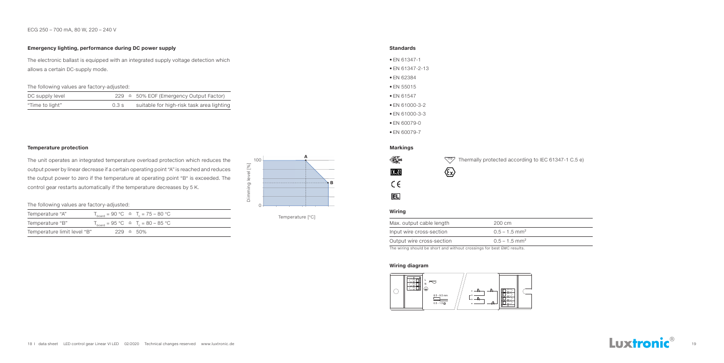#### ECG 250 – 700 mA, 80 W, 220 – 240 V

#### **Temperature protection**

The unit operates an integrated temperature overload protection which reduces the output power by linear decrease if a certain operating point "A" is reached and reduces the output power to zero if the temperature at operating point "B" is exceeded. The control gear restarts automatically if the temperature decreases by 5 K.

#### **Emergency lighting, performance during DC power supply**

The electronic ballast is equipped with an integrated supply voltage detection which allows a certain DC-supply mode.

The following values are factory-adjusted:

| DC supply level |      | $229 \triangleq 50\%$ EOF (Emergency Output Factor) |
|-----------------|------|-----------------------------------------------------|
| "Time to light" | 0.3s | suitable for high-risk task area lighting           |

The following values are factory-adjusted:

| Temperature "A"             |  | $T_{\text{board}} = 90 \text{ °C} \triangleq T_c = 75 - 80 \text{ °C}$ |
|-----------------------------|--|------------------------------------------------------------------------|
| Temperature "B"             |  | $T_{\text{board}} = 95 \text{ °C} \approx T_c = 80 - 85 \text{ °C}$    |
| Temperature limit level "B" |  | $229 \triangleq 50\%$                                                  |



Temperature [°C]

#### **Standards**

#### **Wiring diagram**

- EN 61347-1
- EN 61347-2-13
- EN 62384
- EN 55015
- EN 61547
- EN 61000-3-2
- EN 61000-3-3
- EN 60079-0
- EN 60079-7





#### **Markings**

| ≹65     |  |
|---------|--|
| KENA    |  |
| r.<br>÷ |  |
| IELĪ    |  |

Thermally protected according to IEC 61347-1 C.5 e)

## $\bigotimes$

**Wiring**

| Max. output cable length  | 200 cm                                    |
|---------------------------|-------------------------------------------|
| Input wire cross-section  | $0.5 - 1.5$ mm <sup>2</sup>               |
| Output wire cross-section | $0.5 - 1.5$ mm <sup>2</sup>               |
|                           | $\sim$ $\sim$ $\sim$ $\sim$ $\sim$ $\sim$ |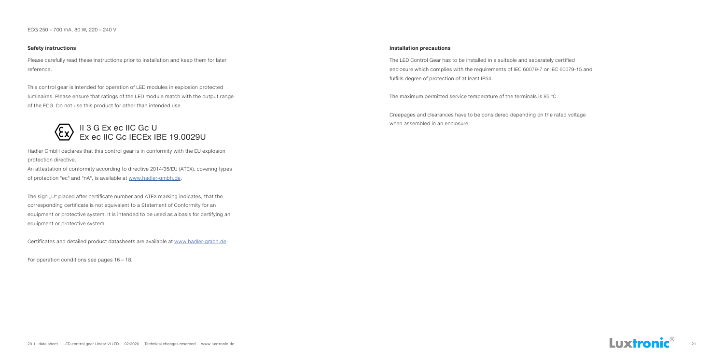#### **Safety instructions Installation precautions**

The LED Control Gear has to be installed in a suitable and separately certified enclosure which complies with the requirements of IEC 60079-7 or IEC 60079-15 and fulfills degree of protection of at least IP54.

The maximum permitted service temperature of the terminals is 85 °C.

Creepages and clearances have to be considered depending on the rated voltage when assembled in an enclosure.



Please carefully read these instructions prior to installation and keep them for later reference.

The sign "U" placed after certificate number and ATEX marking indicates, that the corresponding certificate is not equivalent to a Statement of Conformity for an equipment or protective system. It is intended to be used as a basis for certifying an equipment or protective system.

This control gear is intended for operation of LED modules in explosion protected luminaires. Please ensure that ratings of the LED module match with the output range of the ECG. Do not use this product for other than intended use.

Hadler GmbH declares that this control gear is in conformity with the EU explosion protection directive.

An attestation of conformity according to directive 2014/35/EU (ATEX), covering types of protection "ec" and "nA", is available at www.hadler-gmbh.de.

Certificates and detailed product datasheets are available at www.hadler-gmbh.de.

For operation conditions see pages 16 – 18.

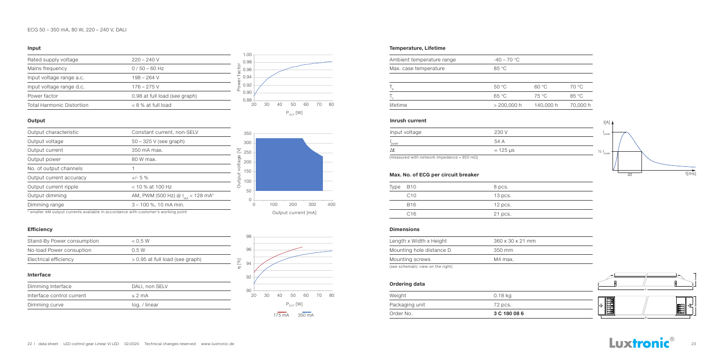#### ECG 50 – 350 mA, 80 W, 220 – 240 V, DALI

| Rated supply voltage             | $220 - 240$ V                 |
|----------------------------------|-------------------------------|
| Mains frequency                  | $0/50 - 60$ Hz                |
| Input voltage range a.c.         | $198 - 264$ V                 |
| Input voltage range d.c.         | $176 - 275$ V                 |
| Power factor                     | 0.98 at full load (see graph) |
| <b>Total Harmonic Distortion</b> | $< 8$ % at full load          |

#### **Input**

#### **Output**



#### **Efficiency**

| Stand-By Power consumption | < 0.5 W                           |
|----------------------------|-----------------------------------|
| No-load Power consuption   | 0.5W                              |
| Electrical efficiency      | $> 0.95$ at full load (see graph) |

#### **Interface**

| Dimming Interface         | DALI, non SELV |
|---------------------------|----------------|
| Interface control current | $<$ 2 mA       |
| Dimming curve             | log. / linear  |

#### **Dimensions**

#### **Ordering data**

#### **Temperature, Lifetime**

| Output characteristic                                                              | Constant current, non-SELV                    |        |
|------------------------------------------------------------------------------------|-----------------------------------------------|--------|
| Output voltage                                                                     | $50 - 325$ V (see graph)                      |        |
| Output current                                                                     | 350 mA max.                                   |        |
| Output power                                                                       | 80 W max.                                     |        |
| No. of output channels                                                             |                                               | voltag |
| Output current accuracy                                                            | $+/- 5 \%$                                    | Jutput |
| Output current ripple                                                              | $<$ 10 % at 100 Hz                            |        |
| Output dimming                                                                     | AM, PWM (500 Hz) @ $I_{\text{out}}$ < 128 mA* |        |
| Dimming range                                                                      | $3 - 100$ %, 10 mA min.                       |        |
| * emaller AM output ourrante quailable in accordance with quetemer's werking point |                                               |        |





| Length x Width x Height           | $360 \times 30 \times 21$ mm |
|-----------------------------------|------------------------------|
| Mounting hole distance D          | 350 mm                       |
| Mounting screws                   | M4 max.                      |
| (see schematic view on the right) |                              |

| Order No.      | 3 C 180 08 6 |
|----------------|--------------|
| Packaging unit | 72 pcs.      |
| Weight         | 0.18 kg      |
|                |              |

| Ambient temperature range | $-40 - 70$ °C |           |          |
|---------------------------|---------------|-----------|----------|
| Max. case temperature     | 85 °C         |           |          |
|                           |               |           |          |
|                           | 50 °C         | 60 °C     | 70 °C    |
|                           | 65 °C         | 75 °C     | 85 °C    |
| lifetime                  | $> 200,000$ h | 140,000 h | 70,000 h |
|                           |               |           |          |

### **Inrush current** I[A]  $\mu$

| Type | B10             | 8 pcs.    |
|------|-----------------|-----------|
|      | C10             | $13$ pcs. |
|      | B <sub>16</sub> | $12$ pcs. |
|      | C16             | 21 pcs.   |

#### **Max. No. of ECG per circuit breaker**



\* smaller AM output currents available in accordance with customer's working point



| Input voltage | 230 V            |
|---------------|------------------|
| 'peak         | 54 A             |
|               | $\approx$ 125 µs |
|               |                  |

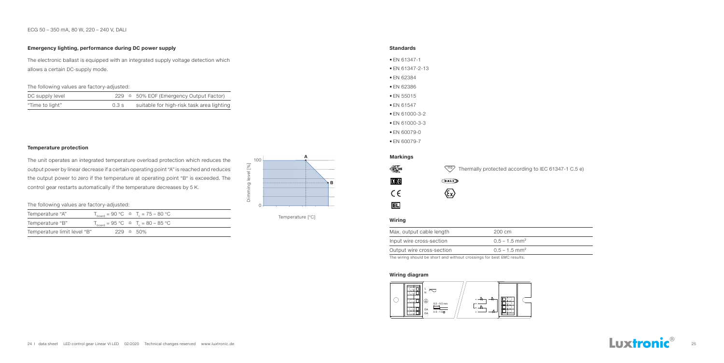#### ECG 50 – 350 mA, 80 W, 220 – 240 V, DALI

#### **Standards**

#### **Wiring diagram**

- EN 61347-1
- EN 61347-2-13
- EN 62384
- EN 62386
- EN 55015
- EN 61547
- EN 61000-3-2
- EN 61000-3-3
- EN 60079-0
- EN 60079-7





#### **Temperature protection**

The unit operates an integrated temperature overload protection which reduces the output power by linear decrease if a certain operating point "A" is reached and reduces the output power to zero if the temperature at operating point "B" is exceeded. The control gear restarts automatically if the temperature decreases by 5 K.

#### **Emergency lighting, performance during DC power supply**

The electronic ballast is equipped with an integrated supply voltage detection which allows a certain DC-supply mode.

The following values are factory-adjusted:

| DC supply level |      | $229 \triangleq 50\%$ EOF (Emergency Output Factor) |
|-----------------|------|-----------------------------------------------------|
| "Time to light" | 0.3s | suitable for high-risk task area lighting           |

The following values are factory-adjusted:

| Temperature "A"             |  | $T_{\text{board}} = 90 \text{ °C} \triangleq T_c = 75 - 80 \text{ °C}$ |
|-----------------------------|--|------------------------------------------------------------------------|
| Temperature "B"             |  | $T_{\text{board}} = 95 \text{ °C} \approx T_c = 80 - 85 \text{ °C}$    |
| Temperature limit level "B" |  | $229 \triangleq 50\%$                                                  |



Temperature [°C]

#### **Markings**



|                               | $\frac{10}{2}$ Thermally protected according to IEC 61347-1 C.5 e) |
|-------------------------------|--------------------------------------------------------------------|
| $G$ ali $D$                   |                                                                    |
| $\langle \xi_{\rm X} \rangle$ |                                                                    |

#### **Wiring**

| Max. output cable length                                                                                        | 200 cm                      |
|-----------------------------------------------------------------------------------------------------------------|-----------------------------|
| Input wire cross-section                                                                                        | $0.5 - 1.5$ mm <sup>2</sup> |
| Output wire cross-section                                                                                       | $0.5 - 1.5$ mm <sup>2</sup> |
| the contract of the contract of the contract of the contract of the contract of the contract of the contract of |                             |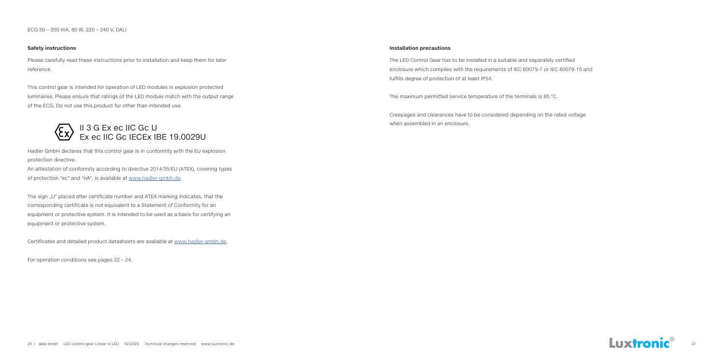ECG 50 – 350 mA, 80 W, 220 – 240 V, DALI

#### **Installation precautions**

The LED Control Gear has to be installed in a suitable and separately certified enclosure which complies with the requirements of IEC 60079-7 or IEC 60079-15 and fulfills degree of protection of at least IP54.

The maximum permitted service temperature of the terminals is 85 °C.

Creepages and clearances have to be considered depending on the rated voltage when assembled in an enclosure.



#### **Safety instructions**

Please carefully read these instructions prior to installation and keep them for later reference.

The sign "U" placed after certificate number and ATEX marking indicates, that the corresponding certificate is not equivalent to a Statement of Conformity for an equipment or protective system. It is intended to be used as a basis for certifying an equipment or protective system.

This control gear is intended for operation of LED modules in explosion protected luminaires. Please ensure that ratings of the LED module match with the output range of the ECG. Do not use this product for other than intended use.

Hadler GmbH declares that this control gear is in conformity with the EU explosion protection directive.

An attestation of conformity according to directive 2014/35/EU (ATEX), covering types of protection "ec" and "nA", is available at www.hadler-gmbh.de.

Certificates and detailed product datasheets are available at www.hadler-gmbh.de.

For operation conditions see pages 22 – 24.

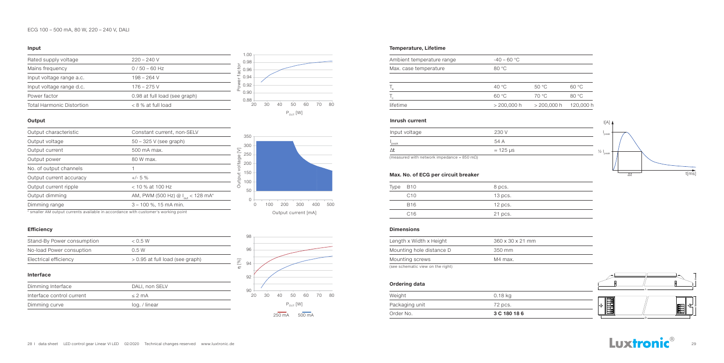| Rated supply voltage             | $220 - 240$ V                 |
|----------------------------------|-------------------------------|
| Mains frequency                  | $0/50 - 60$ Hz                |
| Input voltage range a.c.         | 198 – 264 V                   |
| Input voltage range d.c.         | $176 - 275$ V                 |
| Power factor                     | 0.98 at full load (see graph) |
| <b>Total Harmonic Distortion</b> | $< 8$ % at full load          |

#### **Input**

#### **Output**

#### **Efficiency**

| Stand-By Power consumption | < 0.5 W                           |
|----------------------------|-----------------------------------|
| No-load Power consuption   | 0.5 W                             |
| Electrical efficiency      | $> 0.95$ at full load (see graph) |

#### **Interface**

| Dimming Interface         | DALI, non SELV |
|---------------------------|----------------|
| Interface control current | $<$ 2 mA       |
| Dimming curve             | log. / linear  |

#### **Dimensions**

| Output characteristic                                                                                       | Constant current, non-SELV                    |        |
|-------------------------------------------------------------------------------------------------------------|-----------------------------------------------|--------|
| Output voltage                                                                                              | $50 - 325$ V (see graph)                      |        |
| Output current                                                                                              | 500 mA max.                                   |        |
| Output power                                                                                                | 80 W max.                                     |        |
| No. of output channels                                                                                      |                                               | voltag |
| Output current accuracy                                                                                     | $+/- 5 \%$                                    | Jutput |
| Output current ripple                                                                                       | $<$ 10 % at 100 Hz                            |        |
| Output dimming                                                                                              | AM, PWM (500 Hz) @ I <sub>out</sub> < 128 mA* |        |
| Dimming range                                                                                               | $3 - 100$ %, 15 mA min.                       |        |
| a concelled AAA criterial criterials critelele for cooperation of infals criterials calculated the criteria |                                               |        |

#### **Ordering data**

#### **Temperature, Lifetime**





| Length x Width x Height           | $360 \times 30 \times 21$ mm |
|-----------------------------------|------------------------------|
| Mounting hole distance D          | 350 mm                       |
| Mounting screws                   | M4 max.                      |
| (see schematic view on the right) |                              |

| Order No.      | 3 C 180 18 6 |
|----------------|--------------|
| Packaging unit | 72 pcs.      |
| Weight         | 0.18 kg      |
|                |              |

| Ambient temperature range | $-40 - 60 °C$ |               |        |
|---------------------------|---------------|---------------|--------|
| Max. case temperature     | 80 °C         |               |        |
|                           |               |               |        |
|                           | 40 °C         | 50 °C         | 60 °C  |
|                           | 60 °C         | 70 °C         | 80 °C  |
| lifetime                  | $> 200,000$ h | $> 200,000$ h | 120, C |
|                           |               |               |        |

### **Inrush current** I[A]



| Type | B10             | 8 pcs.    |
|------|-----------------|-----------|
|      | C10             | $13$ pcs. |
|      | B <sub>16</sub> | $12$ pcs. |
|      | C16             | 21 pcs.   |

#### **Max. No. of ECG per circuit breaker**



#### \* smaller AM output currents available in accordance with customer's working point

| Input voltage | 230 V            |
|---------------|------------------|
| peak          | 54 A             |
|               | $\approx$ 125 µs |





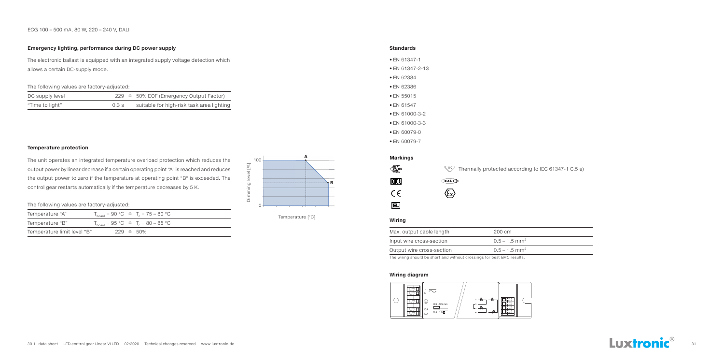ECG 100 – 500 mA, 80 W, 220 – 240 V, DALI

#### **Temperature protection**

The unit operates an integrated temperature overload protection which reduces the output power by linear decrease if a certain operating point "A" is reached and reduces the output power to zero if the temperature at operating point "B" is exceeded. The control gear restarts automatically if the temperature decreases by 5 K.

#### **Emergency lighting, performance during DC power supply**

The electronic ballast is equipped with an integrated supply voltage detection which allows a certain DC-supply mode.

The following values are factory-adjusted:

| DC supply level |      | $229 \triangleq 50\%$ EOF (Emergency Output Factor) |
|-----------------|------|-----------------------------------------------------|
| "Time to light" | 0.3s | suitable for high-risk task area lighting           |

The following values are factory-adjusted:

| Temperature "A"             |  | $T_{\text{board}} = 90 \text{ °C} \triangleq T_c = 75 - 80 \text{ °C}$ |
|-----------------------------|--|------------------------------------------------------------------------|
| Temperature "B"             |  | $T_{\text{board}} = 95 \text{ °C} \approx T_c = 80 - 85 \text{ °C}$    |
| Temperature limit level "B" |  | $229 \triangleq 50\%$                                                  |



Temperature [°C]

#### **Standards**

#### **Wiring diagram**

- EN 61347-1
- EN 61347-2-13
- EN 62384
- EN 62386
- EN 55015
- EN 61547
- EN 61000-3-2
- EN 61000-3-3
- EN 60079-0
- EN 60079-7





#### **Markings**



|                            | $\sqrt{10}$ Thermally protected according to IEC 61347-1 C.5 e) |  |
|----------------------------|-----------------------------------------------------------------|--|
| $\bigoplus$ at $\bigoplus$ |                                                                 |  |

|  | c<br>ŗ<br>×<br>χ |
|--|------------------|
|  |                  |

#### **Wiring**

| Max. output cable length                                                                                        | 200 cm                      |
|-----------------------------------------------------------------------------------------------------------------|-----------------------------|
| Input wire cross-section                                                                                        | $0.5 - 1.5$ mm <sup>2</sup> |
| Output wire cross-section                                                                                       | $0.5 - 1.5$ mm <sup>2</sup> |
| the contract of the contract of the contract of the contract of the contract of the contract of the contract of |                             |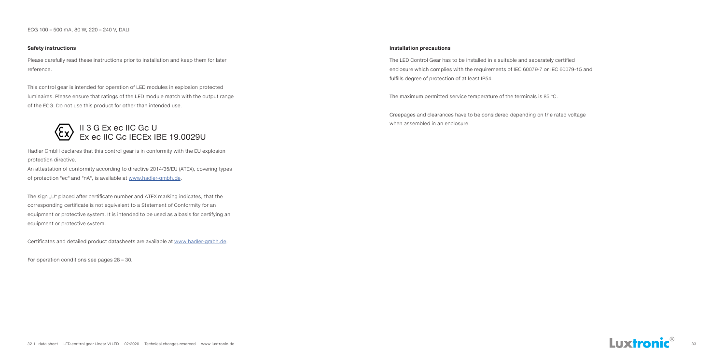ECG 100 – 500 mA, 80 W, 220 – 240 V, DALI

#### **Safety instructions Installation precautions**

The LED Control Gear has to be installed in a suitable and separately certified enclosure which complies with the requirements of IEC 60079-7 or IEC 60079-15 and fulfills degree of protection of at least IP54.

The maximum permitted service temperature of the terminals is 85 °C.

Creepages and clearances have to be considered depending on the rated voltage when assembled in an enclosure.



Please carefully read these instructions prior to installation and keep them for later reference.

The sign "U" placed after certificate number and ATEX marking indicates, that the corresponding certificate is not equivalent to a Statement of Conformity for an equipment or protective system. It is intended to be used as a basis for certifying an equipment or protective system.

This control gear is intended for operation of LED modules in explosion protected luminaires. Please ensure that ratings of the LED module match with the output range of the ECG. Do not use this product for other than intended use.

Hadler GmbH declares that this control gear is in conformity with the EU explosion protection directive.

An attestation of conformity according to directive 2014/35/EU (ATEX), covering types of protection "ec" and "nA", is available at www.hadler-gmbh.de.

Certificates and detailed product datasheets are available at www.hadler-gmbh.de.

For operation conditions see pages 28 – 30.

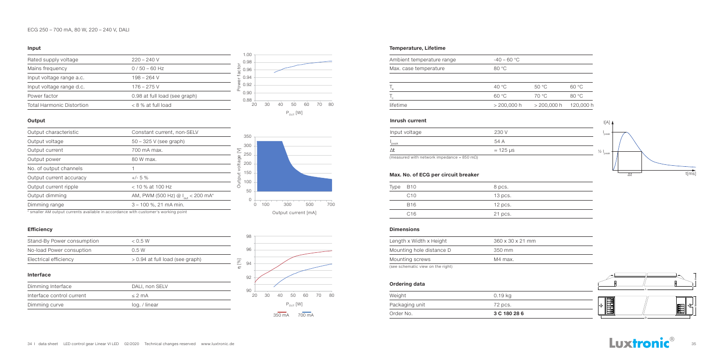#### ECG 250 – 700 mA, 80 W, 220 – 240 V, DALI



| Rated supply voltage             | $220 - 240$ V                 |
|----------------------------------|-------------------------------|
| Mains frequency                  | $0/50 - 60$ Hz                |
| Input voltage range a.c.         | 198 – 264 V                   |
| Input voltage range d.c.         | $176 - 275$ V                 |
| Power factor                     | 0.98 at full load (see graph) |
| <b>Total Harmonic Distortion</b> | $< 8$ % at full load          |

#### **Input**

#### **Output**

#### **Efficiency**

| Stand-By Power consumption | < 0.5 W                           |
|----------------------------|-----------------------------------|
| No-load Power consuption   | 0.5W                              |
| Electrical efficiency      | $> 0.94$ at full load (see graph) |

#### **Interface**

| Dimming Interface         | DALI, non SELV |  |
|---------------------------|----------------|--|
| Interface control current | $<$ 2 mA       |  |
| Dimming curve             | log. / linear  |  |

#### **Dimensions**

**Ordering data**

#### **Temperature, Lifetime**

| Output characteristic                                                              | Constant current, non-SELV                                |         |
|------------------------------------------------------------------------------------|-----------------------------------------------------------|---------|
| Output voltage                                                                     | $50 - 325$ V (see graph)                                  |         |
| Output current                                                                     | 700 mA max.                                               | ≥       |
| Output power                                                                       | 80 W max.                                                 | voltage |
| No. of output channels                                                             |                                                           |         |
| Output current accuracy                                                            | $+/- 5 \%$                                                | Output  |
| Output current ripple                                                              | $<$ 10 % at 100 Hz                                        |         |
| Output dimming                                                                     | AM, PWM (500 Hz) @ I <sub>out</sub> < 200 mA <sup>*</sup> |         |
| Dimming range                                                                      | 3 - 100 %, 21 mA min.                                     |         |
| * emaller AM output ourrante quailable in accordance with quetamerle werking noint |                                                           |         |





| Length x Width x Height           | $360 \times 30 \times 21$ mm |
|-----------------------------------|------------------------------|
| Mounting hole distance D          | 350 mm                       |
| Mounting screws                   | M4 max.                      |
| (see schematic view on the right) |                              |

| Order No.      | 3 C 180 28 6 |
|----------------|--------------|
| Packaging unit | 72 pcs.      |
| Weight         | 0.19 kg      |
|                |              |

| Ambient temperature range | $-40 - 60 °C$ |               |        |
|---------------------------|---------------|---------------|--------|
| Max. case temperature     | 80 °C         |               |        |
|                           |               |               |        |
|                           | 40 °C         | 50 °C         | 60 °C  |
|                           | 60 °C         | 70 °C         | 80 °C  |
| lifetime                  | $> 200,000$ h | $> 200,000$ h | 120, C |
|                           |               |               |        |

### **Inrush current** I[A]



| Type | B10             | 8 pcs.    |
|------|-----------------|-----------|
|      | C10             | $13$ pcs. |
|      | B <sub>16</sub> | $12$ pcs. |
|      | C16             | 21 pcs.   |

#### **Max. No. of ECG per circuit breaker**





\* smaller AM output currents available in accordance with customer's working point

| Input voltage | 230 V            |
|---------------|------------------|
| peak          | 54 A             |
|               | $\approx$ 125 µs |

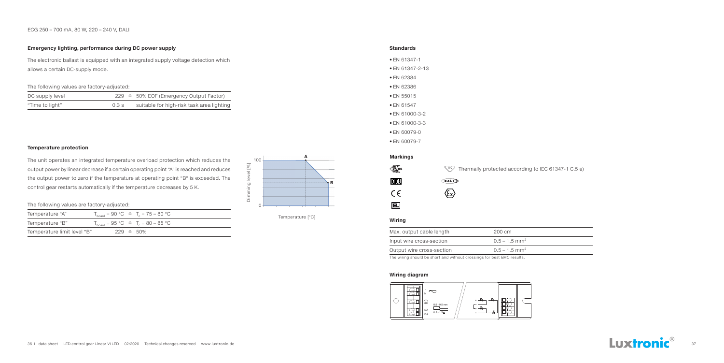#### ECG 250 – 700 mA, 80 W, 220 – 240 V, DALI



#### **Temperature protection**

The unit operates an integrated temperature overload protection which reduces the output power by linear decrease if a certain operating point "A" is reached and reduces the output power to zero if the temperature at operating point "B" is exceeded. The control gear restarts automatically if the temperature decreases by 5 K.

#### **Emergency lighting, performance during DC power supply**

The electronic ballast is equipped with an integrated supply voltage detection which allows a certain DC-supply mode.

The following values are factory-adjusted:

| DC supply level |      | $229 \triangleq 50\%$ EOF (Emergency Output Factor) |
|-----------------|------|-----------------------------------------------------|
| "Time to light" | 0.3s | suitable for high-risk task area lighting           |

The following values are factory-adjusted:

| Temperature "A"             |  | $T_{\text{board}} = 90 \text{ °C} \triangleq T_c = 75 - 80 \text{ °C}$ |
|-----------------------------|--|------------------------------------------------------------------------|
| Temperature "B"             |  | $T_{\text{board}} = 95 \text{ °C} \approx T_c = 80 - 85 \text{ °C}$    |
| Temperature limit level "B" |  | $229 \triangleq 50\%$                                                  |



Temperature [°C]

#### **Standards**

#### **Wiring diagram**

- EN 61347-1
- EN 61347-2-13
- EN 62384
- EN 62386
- EN 55015
- EN 61547
- EN 61000-3-2
- EN 61000-3-3
- EN 60079-0
- EN 60079-7



#### **Markings**



|                                    | $\frac{10}{2}$ Thermally protected according to IEC 61347-1 C.5 e) |
|------------------------------------|--------------------------------------------------------------------|
| $G$ ali $D$                        |                                                                    |
| $\langle \epsilon_{\rm x} \rangle$ |                                                                    |

#### **Wiring**

| Max. output cable length  | 200 cm                      |
|---------------------------|-----------------------------|
| Input wire cross-section  | $0.5 - 1.5$ mm <sup>2</sup> |
| Output wire cross-section | $0.5 - 1.5$ mm <sup>2</sup> |
|                           | .                           |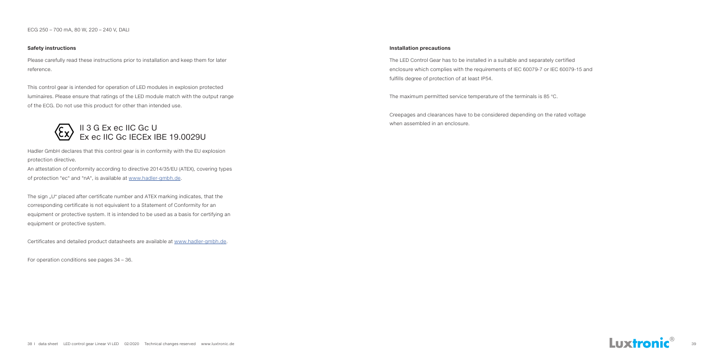ECG 250 – 700 mA, 80 W, 220 – 240 V, DALI

#### **Safety instructions Installation precautions**

The LED Control Gear has to be installed in a suitable and separately certified enclosure which complies with the requirements of IEC 60079-7 or IEC 60079-15 and fulfills degree of protection of at least IP54.

The maximum permitted service temperature of the terminals is 85 °C.

Creepages and clearances have to be considered depending on the rated voltage when assembled in an enclosure.



Please carefully read these instructions prior to installation and keep them for later reference.

The sign "U" placed after certificate number and ATEX marking indicates, that the corresponding certificate is not equivalent to a Statement of Conformity for an equipment or protective system. It is intended to be used as a basis for certifying an equipment or protective system.

This control gear is intended for operation of LED modules in explosion protected luminaires. Please ensure that ratings of the LED module match with the output range of the ECG. Do not use this product for other than intended use.

Hadler GmbH declares that this control gear is in conformity with the EU explosion protection directive.

An attestation of conformity according to directive 2014/35/EU (ATEX), covering types of protection "ec" and "nA", is available at www.hadler-gmbh.de.

Certificates and detailed product datasheets are available at www.hadler-gmbh.de.

For operation conditions see pages 34 – 36.